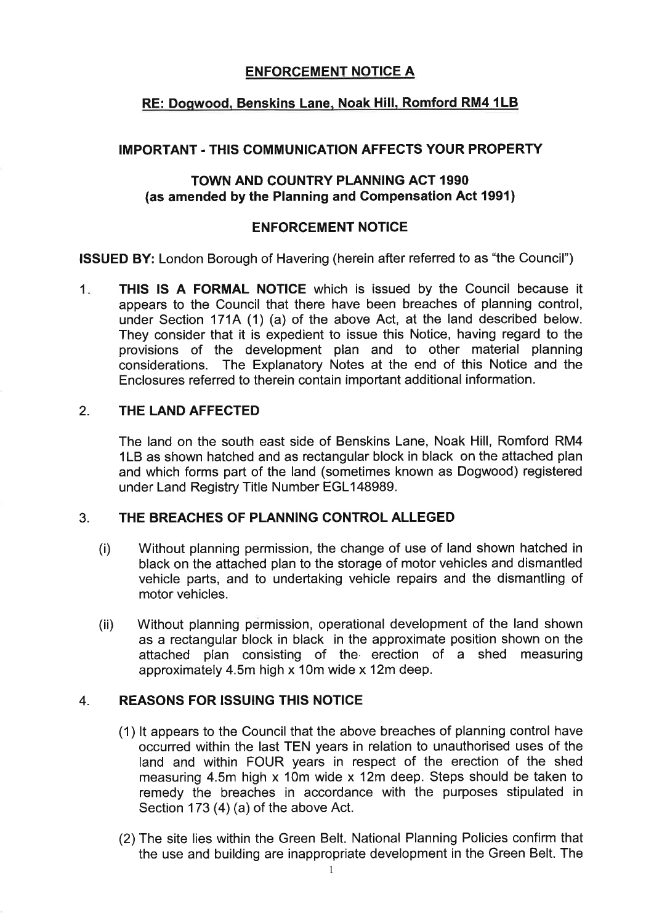# **ENFORCEMENT NOTICE A**

# **RE: Dogwood, Benskins Lane, Noak Hill, Romford RM4 1LB**

#### **IMPORTANT** - **THlS COMMUNICATIONAFFECTS YOUR PROPERTY**

### **TOWN AND COUNTRY PLANNING ACT 1990 (as amended by the Planning and Compensation Act 1991)**

#### **ENFORCEMENT NOTICE**

**ISSUED BY:** London Borough of Havering (herein after referred to as "the Council")

1. **THlS IS A FORMAL NOTICE** which is issued by the Council because it appears to the Council that there have been breaches of planning control, under Section 171A (1) (a) of the above Act, at the land described below. They consider that it is expedient to issue this Notice, having regard to the provisions of the development plan and to other material planning considerations. The Explanatory Notes at the end of this Notice and the Enclosures referred to therein contain important additional information.

#### 2. **THE LAND AFFECTED**

The land on the south east side of Benskins Lane, Noak Hill, Romford RM4 1LB as shown hatched and as rectangular block in black on the attached plan and which forms part of the land (sometimes known as Dogwood) registered under Land Registry Title Number EGLI48989.

#### 3. **THE BREACHES OF PLANNING CONTROL ALLEGED**

- (i) Without planning permission, the change of use of land shown hatched in black on the attached plan to the storage of motor vehicles and dismantled vehicle parts, and to undertaking vehicle repairs and the dismantling of motor vehicles.
- (ii) Without planning permission, operational development of the land shown as a rectangular block in black in the approximate position shown on the attached plan consisting of the erection of a shed measuring approximately 4.5m high x 10m wide x 12m deep.

#### 4. **REASONS FOR ISSUING THIS NOTICE**

- (1) It appears to the Council that the above breaches of planning control have occurred within the last TEN years in relation to unauthorised uses of the land and within FOUR years in respect of the erection of the shed measuring 4.5m high X 10m wide **X** 12m deep. Steps should be taken to remedy the breaches in accordance with the purposes stipulated in Section 173 (4) (a) of the above Act.
- (2) The site lies within the Green Belt. National Planning Policies confirm that the use and building are inappropriate development in the Green Belt. The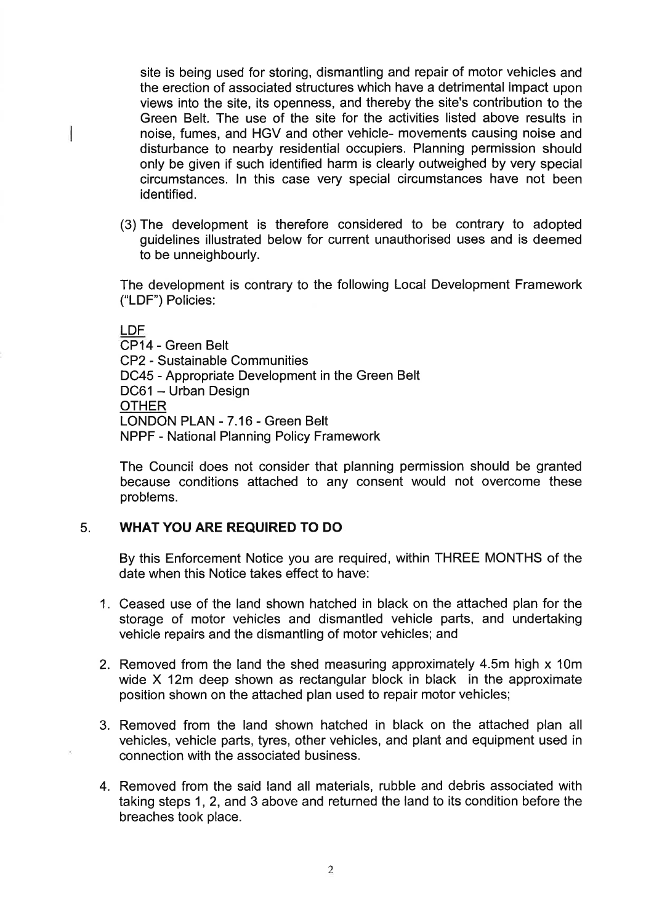site is being used for storing, dismantling and repair of motor vehicles and the erection of associated structures which have a detrimental impact upon views into the site, its openness, and thereby the site's contribution to the Green Belt. The use of the site for the activities listed above results in noise, fumes, and HGV and other vehicle- movements causing noise and disturbance to nearby residential occupiers. Planning permission should only be given if such identified harm is clearly outweighed by very special circumstances. In this case very special circumstances have not been identified.

(3) The development is therefore considered to be contrary to adopted guidelines illustrated below for current unauthorised uses and is deemed to be unneighbourly.

The development is contrary to the following Local Development Framework ("LDF") Policies:

LDF CP14 - Green Belt CP2 - Sustainable Communities DC45 - Appropriate Development in the Green Belt DC61 - Urban Design **OTHER** LONDON PLAN - 7.16 - Green Belt NPPF - National Planning Policy Framework

The Council does not consider that planning permission should be granted because conditions attached to any consent would not overcome these problems.

#### 5. **WHAT YOU ARE REQUIRED TO DO**

By this Enforcement Notice you are required, within THREE MONTHS of the date when this Notice takes effect to have:

- 1. Ceased use of the land shown hatched in black on the attached plan for the storage of motor vehicles and dismantled vehicle parts, and undertaking vehicle repairs and the dismantling of motor vehicles; and
- 2. Removed from the land the shed measuring approximately 4.5m high x 10m wide X 12m deep shown as rectangular block in black in the approximate position shown on the attached plan used to repair motor vehicles;
- 3. Removed from the land shown hatched in black on the attached plan all vehicles, vehicle parts, tyres, other vehicles, and plant and equipment used in connection with the associated business.
- 4. Removed from the said land all materials, rubble and debris associated with taking steps 1, 2, and 3 above and returned the land to its condition before the breaches took place.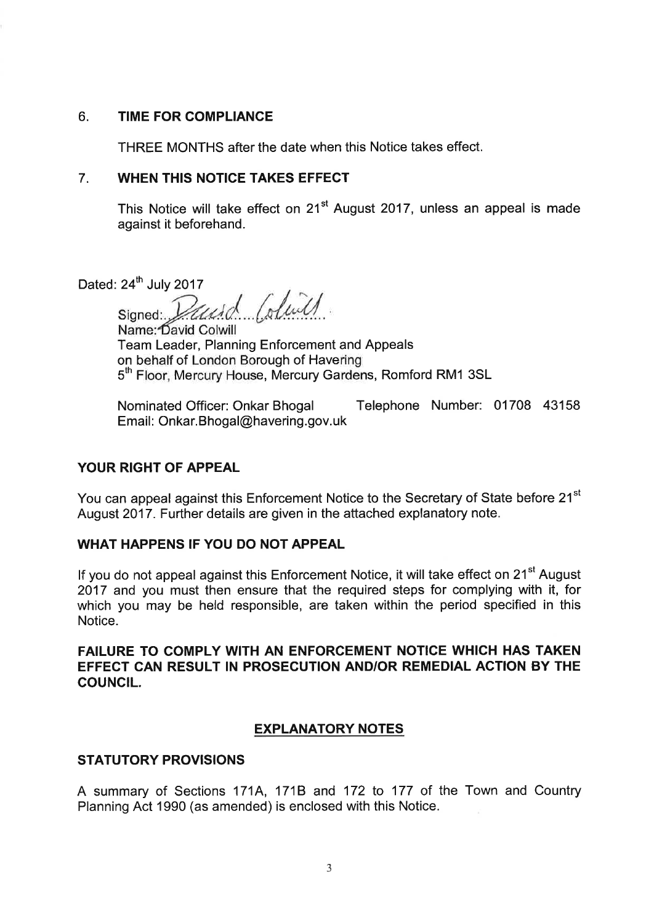### **6. TIME FOR COMPLIANCE**

THREE MONTHS after the date when this Notice takes effect.

#### 7. **WHEN THIS NOTICE TAKES EFFECT**

This Notice will take effect on 21<sup>st</sup> August 2017, unless an appeal is made against it beforehand.

Dated:  $24<sup>th</sup>$  July 2017

Signed: *Vausd (duil)* 

Team Leader, Planning Enforcement and Appeals on behalf of London Borough of Havering 5<sup>th</sup> Floor, Mercury House, Mercury Gardens, Romford RM1 3SL

Nominated Officer: Onkar Bhogal Telephone Number: 01708 43158 Email: 0nkar.Bhogal@havering.g0v.uk

### **YOUR RIGHT OF APPEAL**

You can appeal against this Enforcement Notice to the Secretary of State before 21<sup>st</sup> August 2017. Further details are given in the attached explanatory note.

### **WHAT HAPPENS IF YOU DO NOT APPEAL**

If you do not appeal against this Enforcement Notice, it will take effect on 21<sup>st</sup> August 2017 and you must then ensure that the required steps for complying with it, for which you may be held responsible, are taken within the period specified in this Notice.

# **FAILURE TO COMPLY WITH AN ENFORCEMENT NOTICE WHICH HAS TAKEN EFFECT CAN RESULT IN PROSECUTION AND/OR REMEDIAL ACTION BY THE COUNCIL.**

### **EXPLANATORY NOTES**

### **STATUTORY PROVISIONS**

A summary of Sections 171A, 171B and 172 to 177 of the Town and Country Planning Act 1990 (as amended) is enclosed with this Notice.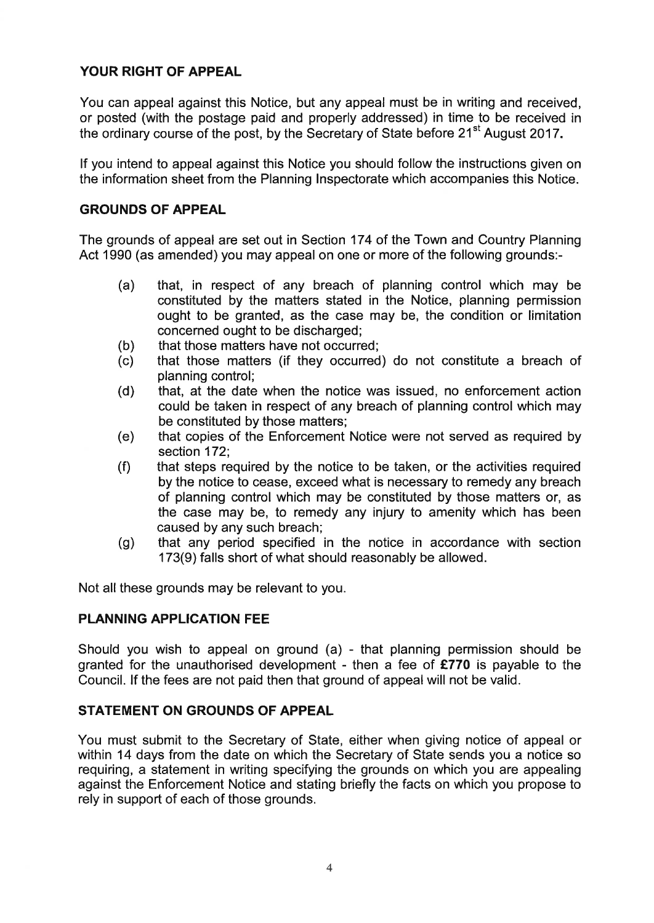# **YOUR RIGHT OF APPEAL**

You can appeal against this Notice, but any appeal must be in writing and received, or posted (with the postage paid and properly addressed) in time to be received in the ordinary course of the post, by the Secretary of State before  $21<sup>st</sup>$  August 2017.

If you intend to appeal against this Notice you should follow the instructions given on the information sheet from the Planning Inspectorate which accompanies this Notice.

# **GROUNDS OF APPEAL**

The grounds of appeal are set out in Section 174 of the Town and Country Planning Act 1990 (as amended) you may appeal on one or more of the following grounds:-

- (a) that, in respect of any breach of planning control which may be constituted by the matters stated in the Notice, planning permission ought to be granted, as the case may be, the condition or limitation concerned ought to be discharged;
- 
- (b) that those matters have not occurred;<br>(c) that those matters (if they occurred that those matters (if they occurred) do not constitute a breach of planning control;
- (d) that, at the date when the notice was issued, no enforcement action could be taken in respect of any breach of planning control which may be constituted by those matters;
- (e) that copies of the Enforcement Notice were not served as required by section 172;
- (f) that steps required by the notice to be taken, or the activities required by the notice to cease, exceed what is necessary to remedy any breach of planning control which may be constituted by those matters or, as the case may be, to remedy any injury to amenity which has been caused by any such breach;
- (g) that any period specified in the notice in accordance with section 173(9) falls short of what should reasonably be allowed.

Not all these grounds may be relevant to you.

### **PLANNING APPLICATION FEE**

Should you wish to appeal on ground (a) - that planning permission should be granted for the unauthorised development - then a fee of **E770** is payable to the Council. If the fees are not paid then that ground of appeal will not be valid.

### **STATEMENT ON GROUNDS OF APPEAL**

You must submit to the Secretary of State, either when giving notice of appeal or within 14 days from the date on which the Secretary of State sends you a notice so requiring, a statement in writing specifying the grounds on which you are appealing against the Enforcement Notice and stating briefly the facts on which you propose to rely in support of each of those grounds.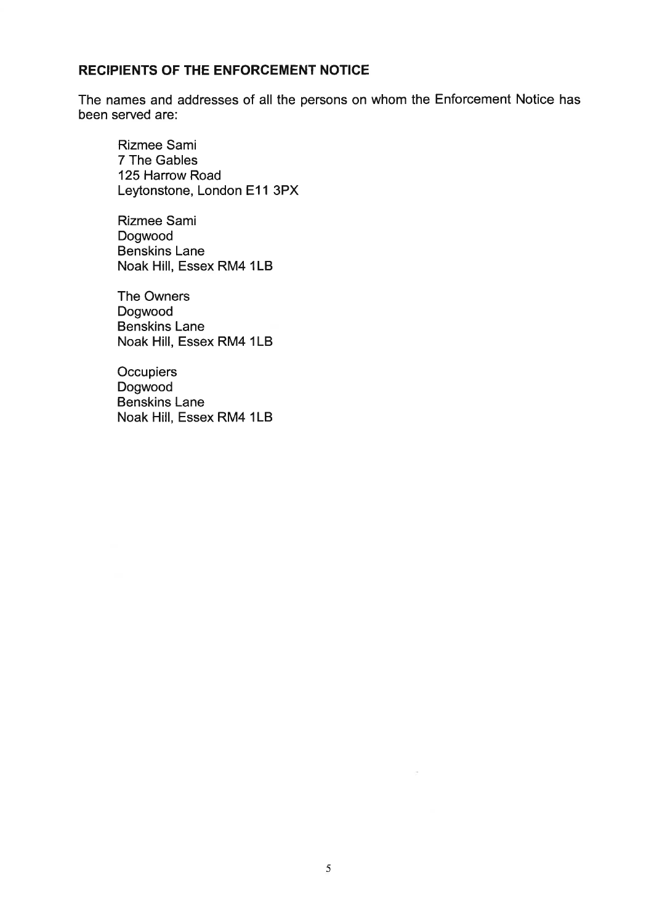# **RECIPIENTS OF THE ENFORCEMENT NOTICE**

The names and addresses of all the persons on whom the Enforcement Notice has been served are:

Rizmee Sami 7 The Gables 125 Harrow Road Leytonstone, London E11 3PX

Rizmee Sami Dogwood Benskins Lane Noak Hill, Essex RM4 1LB

The Owners Dogwood Benskins Lane Noak Hill, Essex RM4 1LB

**Occupiers** Dogwood Benskins Lane Noak Hill, Essex RM4 1LB